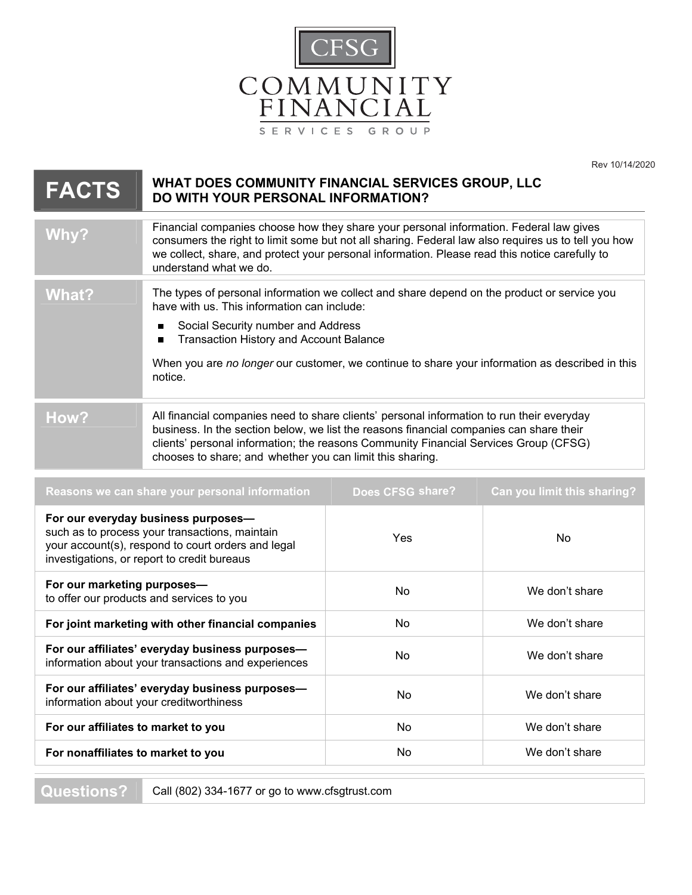

Rev 10/14/2020

| <b>FACTS</b> | WHAT DOES COMMUNITY FINANCIAL SERVICES GROUP, LLC<br>DO WITH YOUR PERSONAL INFORMATION?                                                                                                                                                                                                                                                                    |  |
|--------------|------------------------------------------------------------------------------------------------------------------------------------------------------------------------------------------------------------------------------------------------------------------------------------------------------------------------------------------------------------|--|
| Why?         | Financial companies choose how they share your personal information. Federal law gives<br>consumers the right to limit some but not all sharing. Federal law also requires us to tell you how<br>we collect, share, and protect your personal information. Please read this notice carefully to<br>understand what we do.                                  |  |
| What?        | The types of personal information we collect and share depend on the product or service you<br>have with us. This information can include:<br>Social Security number and Address<br>п<br><b>Transaction History and Account Balance</b><br>П<br>When you are no longer our customer, we continue to share your information as described in this<br>notice. |  |
| How?         | All financial companies need to share clients' personal information to run their everyday<br>business. In the section below, we list the reasons financial companies can share their<br>clients' personal information; the reasons Community Financial Services Group (CFSG)<br>chooses to share; and whether you can limit this sharing.                  |  |

| Reasons we can share your personal information                                                                                                                                             | Does CFSG share? | <b>Can you limit this sharing?</b> |
|--------------------------------------------------------------------------------------------------------------------------------------------------------------------------------------------|------------------|------------------------------------|
| For our everyday business purposes-<br>such as to process your transactions, maintain<br>your account(s), respond to court orders and legal<br>investigations, or report to credit bureaus | <b>Yes</b>       | No.                                |
| For our marketing purposes-<br>to offer our products and services to you                                                                                                                   | N <sub>o</sub>   | We don't share                     |
| For joint marketing with other financial companies                                                                                                                                         | <b>No</b>        | We don't share                     |
| For our affiliates' everyday business purposes-<br>information about your transactions and experiences                                                                                     | No               | We don't share                     |
| For our affiliates' everyday business purposes-<br>information about your creditworthiness                                                                                                 | No.              | We don't share                     |
| For our affiliates to market to you                                                                                                                                                        | No.              | We don't share                     |
| For nonaffiliates to market to you                                                                                                                                                         | No.              | We don't share                     |
|                                                                                                                                                                                            |                  |                                    |

**Questions?** Call (802) 334-1677 or go to www.cfsgtrust.com